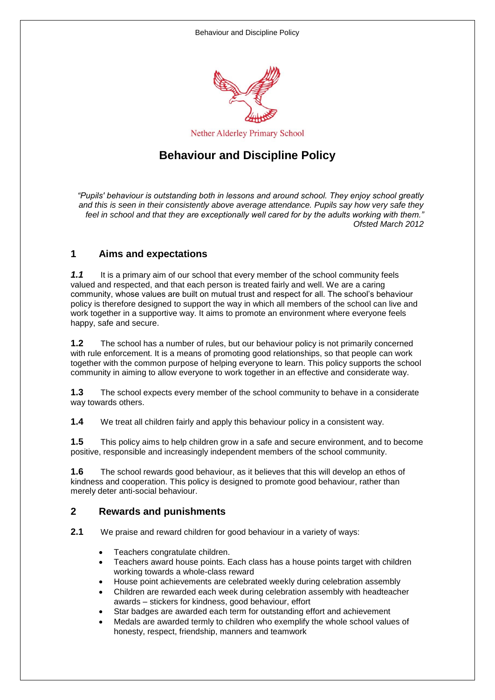

# **Behaviour and Discipline Policy**

*"Pupils' behaviour is outstanding both in lessons and around school. They enjoy school greatly and this is seen in their consistently above average attendance. Pupils say how very safe they*  feel in school and that they are exceptionally well cared for by the adults working with them. *Ofsted March 2012*

#### **1 Aims and expectations**

**1.1** It is a primary aim of our school that every member of the school community feels valued and respected, and that each person is treated fairly and well. We are a caring community, whose values are built on mutual trust and respect for all. The school's behaviour policy is therefore designed to support the way in which all members of the school can live and work together in a supportive way. It aims to promote an environment where everyone feels happy, safe and secure.

**1.2** The school has a number of rules, but our behaviour policy is not primarily concerned with rule enforcement. It is a means of promoting good relationships, so that people can work together with the common purpose of helping everyone to learn. This policy supports the school community in aiming to allow everyone to work together in an effective and considerate way.

**1.3** The school expects every member of the school community to behave in a considerate way towards others.

**1.4** We treat all children fairly and apply this behaviour policy in a consistent way.

**1.5** This policy aims to help children grow in a safe and secure environment, and to become positive, responsible and increasingly independent members of the school community.

**1.6** The school rewards good behaviour, as it believes that this will develop an ethos of kindness and cooperation. This policy is designed to promote good behaviour, rather than merely deter anti-social behaviour.

#### **2 Rewards and punishments**

**2.1** We praise and reward children for good behaviour in a variety of ways:

- Teachers congratulate children.
- Teachers award house points. Each class has a house points target with children working towards a whole-class reward
- House point achievements are celebrated weekly during celebration assembly
- Children are rewarded each week during celebration assembly with headteacher awards – stickers for kindness, good behaviour, effort
- Star badges are awarded each term for outstanding effort and achievement
- Medals are awarded termly to children who exemplify the whole school values of honesty, respect, friendship, manners and teamwork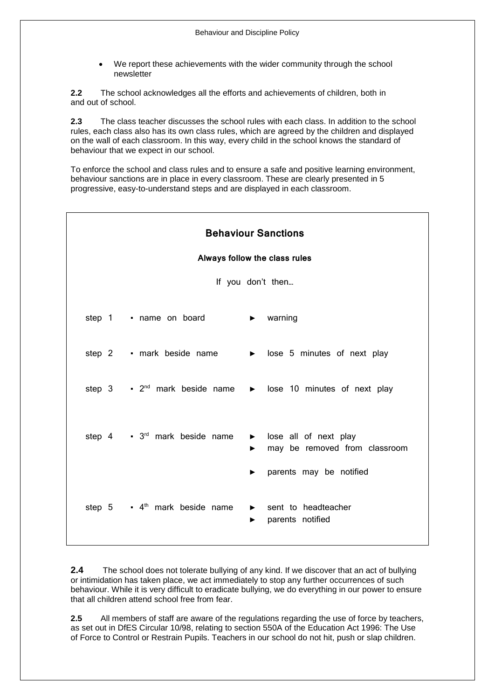We report these achievements with the wider community through the school newsletter

**2.2** The school acknowledges all the efforts and achievements of children, both in and out of school.

**2.3** The class teacher discusses the school rules with each class. In addition to the school rules, each class also has its own class rules, which are agreed by the children and displayed on the wall of each classroom. In this way, every child in the school knows the standard of behaviour that we expect in our school.

To enforce the school and class rules and to ensure a safe and positive learning environment, behaviour sanctions are in place in every classroom. These are clearly presented in 5 progressive, easy-to-understand steps and are displayed in each classroom.

| <b>Behaviour Sanctions</b><br>Always follow the class rules                                |                                                                                   |
|--------------------------------------------------------------------------------------------|-----------------------------------------------------------------------------------|
| If you don't then                                                                          |                                                                                   |
| step 1 • name on board                                                                     | $\blacktriangleright$ warning                                                     |
| step 2 • mark beside name                                                                  | $\triangleright$ lose 5 minutes of next play                                      |
| step 3 $\cdot$ 2 <sup>nd</sup> mark beside name $\rightarrow$ lose 10 minutes of next play |                                                                                   |
| step $4 \tcdot 3^{rd}$ mark beside name                                                    | > lose all of next play<br>may be removed from classroom<br>$\blacktriangleright$ |
|                                                                                            | parents may be notified<br>▶                                                      |
| step $5 \rightarrow 4^{\text{th}}$ mark beside name                                        | sent to headteacher<br>parents notified<br>▶                                      |

**2.4** The school does not tolerate bullying of any kind. If we discover that an act of bullying or intimidation has taken place, we act immediately to stop any further occurrences of such behaviour. While it is very difficult to eradicate bullying, we do everything in our power to ensure that all children attend school free from fear.

**2.5** All members of staff are aware of the regulations regarding the use of force by teachers, as set out in DfES Circular 10/98, relating to section 550A of the Education Act 1996: The Use of Force to Control or Restrain Pupils. Teachers in our school do not hit, push or slap children.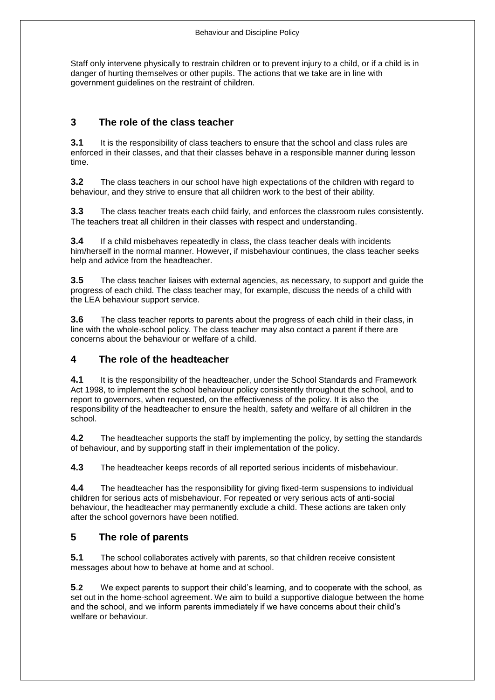Staff only intervene physically to restrain children or to prevent injury to a child, or if a child is in danger of hurting themselves or other pupils. The actions that we take are in line with government guidelines on the restraint of children.

# **3 The role of the class teacher**

**3.1** It is the responsibility of class teachers to ensure that the school and class rules are enforced in their classes, and that their classes behave in a responsible manner during lesson time.

**3.2** The class teachers in our school have high expectations of the children with regard to behaviour, and they strive to ensure that all children work to the best of their ability.

**3.3** The class teacher treats each child fairly, and enforces the classroom rules consistently. The teachers treat all children in their classes with respect and understanding.

**3.4** If a child misbehaves repeatedly in class, the class teacher deals with incidents him/herself in the normal manner. However, if misbehaviour continues, the class teacher seeks help and advice from the headteacher.

**3.5** The class teacher liaises with external agencies, as necessary, to support and guide the progress of each child. The class teacher may, for example, discuss the needs of a child with the LEA behaviour support service.

**3.6** The class teacher reports to parents about the progress of each child in their class, in line with the whole-school policy. The class teacher may also contact a parent if there are concerns about the behaviour or welfare of a child.

## **4 The role of the headteacher**

**4.1** It is the responsibility of the headteacher, under the School Standards and Framework Act 1998, to implement the school behaviour policy consistently throughout the school, and to report to governors, when requested, on the effectiveness of the policy. It is also the responsibility of the headteacher to ensure the health, safety and welfare of all children in the school.

**4.2** The headteacher supports the staff by implementing the policy, by setting the standards of behaviour, and by supporting staff in their implementation of the policy.

**4.3** The headteacher keeps records of all reported serious incidents of misbehaviour.

**4.4** The headteacher has the responsibility for giving fixed-term suspensions to individual children for serious acts of misbehaviour. For repeated or very serious acts of anti-social behaviour, the headteacher may permanently exclude a child. These actions are taken only after the school governors have been notified.

## **5 The role of parents**

**5.1** The school collaborates actively with parents, so that children receive consistent messages about how to behave at home and at school.

**5**.**2** We expect parents to support their child's learning, and to cooperate with the school, as set out in the home-school agreement. We aim to build a supportive dialogue between the home and the school, and we inform parents immediately if we have concerns about their child's welfare or behaviour.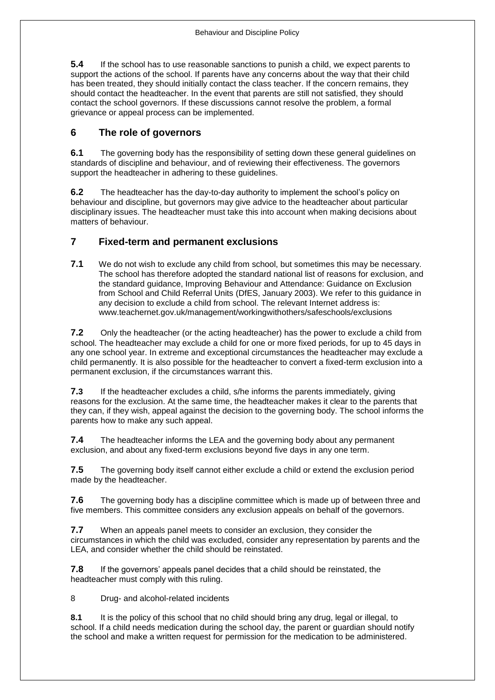**5.4** If the school has to use reasonable sanctions to punish a child, we expect parents to support the actions of the school. If parents have any concerns about the way that their child has been treated, they should initially contact the class teacher. If the concern remains, they should contact the headteacher. In the event that parents are still not satisfied, they should contact the school governors. If these discussions cannot resolve the problem, a formal grievance or appeal process can be implemented.

#### **6 The role of governors**

**6.1** The governing body has the responsibility of setting down these general guidelines on standards of discipline and behaviour, and of reviewing their effectiveness. The governors support the headteacher in adhering to these guidelines.

**6.2** The headteacher has the day-to-day authority to implement the school's policy on behaviour and discipline, but governors may give advice to the headteacher about particular disciplinary issues. The headteacher must take this into account when making decisions about matters of behaviour.

#### **7 Fixed-term and permanent exclusions**

**7.1** We do not wish to exclude any child from school, but sometimes this may be necessary. The school has therefore adopted the standard national list of reasons for exclusion, and the standard guidance, Improving Behaviour and Attendance: Guidance on Exclusion from School and Child Referral Units (DfES, January 2003). We refer to this guidance in any decision to exclude a child from school. The relevant Internet address is: www.teachernet.gov.uk/management/workingwithothers/safeschools/exclusions

**7.2** Only the headteacher (or the acting headteacher) has the power to exclude a child from school. The headteacher may exclude a child for one or more fixed periods, for up to 45 days in any one school year. In extreme and exceptional circumstances the headteacher may exclude a child permanently. It is also possible for the headteacher to convert a fixed-term exclusion into a permanent exclusion, if the circumstances warrant this.

**7.3** If the headteacher excludes a child, s/he informs the parents immediately, giving reasons for the exclusion. At the same time, the headteacher makes it clear to the parents that they can, if they wish, appeal against the decision to the governing body. The school informs the parents how to make any such appeal.

**7.4** The headteacher informs the LEA and the governing body about any permanent exclusion, and about any fixed-term exclusions beyond five days in any one term.

**7.5** The governing body itself cannot either exclude a child or extend the exclusion period made by the headteacher.

**7.6** The governing body has a discipline committee which is made up of between three and five members. This committee considers any exclusion appeals on behalf of the governors.

**7.7** When an appeals panel meets to consider an exclusion, they consider the circumstances in which the child was excluded, consider any representation by parents and the LEA, and consider whether the child should be reinstated.

**7.8** If the governors' appeals panel decides that a child should be reinstated, the headteacher must comply with this ruling.

8 Drug- and alcohol-related incidents

**8.1** It is the policy of this school that no child should bring any drug, legal or illegal, to school. If a child needs medication during the school day, the parent or guardian should notify the school and make a written request for permission for the medication to be administered.